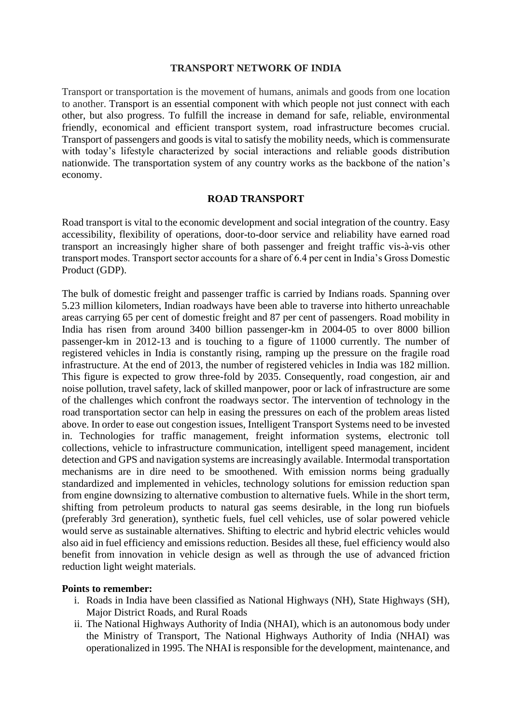### **TRANSPORT NETWORK OF INDIA**

Transport or transportation is the movement of humans, animals and goods from one location to another. Transport is an essential component with which people not just connect with each other, but also progress. To fulfill the increase in demand for safe, reliable, environmental friendly, economical and efficient transport system, road infrastructure becomes crucial. Transport of passengers and goods is vital to satisfy the mobility needs, which is commensurate with today's lifestyle characterized by social interactions and reliable goods distribution nationwide. The transportation system of any country works as the backbone of the nation's economy.

### **ROAD TRANSPORT**

Road transport is vital to the economic development and social integration of the country. Easy accessibility, flexibility of operations, door-to-door service and reliability have earned road transport an increasingly higher share of both passenger and freight traffic vis-à-vis other transport modes. Transport sector accounts for a share of 6.4 per cent in India's Gross Domestic Product (GDP).

The bulk of domestic freight and passenger traffic is carried by Indians roads. Spanning over 5.23 million kilometers, Indian roadways have been able to traverse into hitherto unreachable areas carrying 65 per cent of domestic freight and 87 per cent of passengers. Road mobility in India has risen from around 3400 billion passenger-km in 2004-05 to over 8000 billion passenger-km in 2012-13 and is touching to a figure of 11000 currently. The number of registered vehicles in India is constantly rising, ramping up the pressure on the fragile road infrastructure. At the end of 2013, the number of registered vehicles in India was 182 million. This figure is expected to grow three-fold by 2035. Consequently, road congestion, air and noise pollution, travel safety, lack of skilled manpower, poor or lack of infrastructure are some of the challenges which confront the roadways sector. The intervention of technology in the road transportation sector can help in easing the pressures on each of the problem areas listed above. In order to ease out congestion issues, Intelligent Transport Systems need to be invested in. Technologies for traffic management, freight information systems, electronic toll collections, vehicle to infrastructure communication, intelligent speed management, incident detection and GPS and navigation systems are increasingly available. Intermodal transportation mechanisms are in dire need to be smoothened. With emission norms being gradually standardized and implemented in vehicles, technology solutions for emission reduction span from engine downsizing to alternative combustion to alternative fuels. While in the short term, shifting from petroleum products to natural gas seems desirable, in the long run biofuels (preferably 3rd generation), synthetic fuels, fuel cell vehicles, use of solar powered vehicle would serve as sustainable alternatives. Shifting to electric and hybrid electric vehicles would also aid in fuel efficiency and emissions reduction. Besides all these, fuel efficiency would also benefit from innovation in vehicle design as well as through the use of advanced friction reduction light weight materials.

#### **Points to remember:**

- i. Roads in India have been classified as National Highways (NH), State Highways (SH), Major District Roads, and Rural Roads
- ii. The National Highways Authority of India (NHAI), which is an autonomous body under the Ministry of Transport, The National Highways Authority of India (NHAI) was operationalized in 1995. The NHAI is responsible for the development, maintenance, and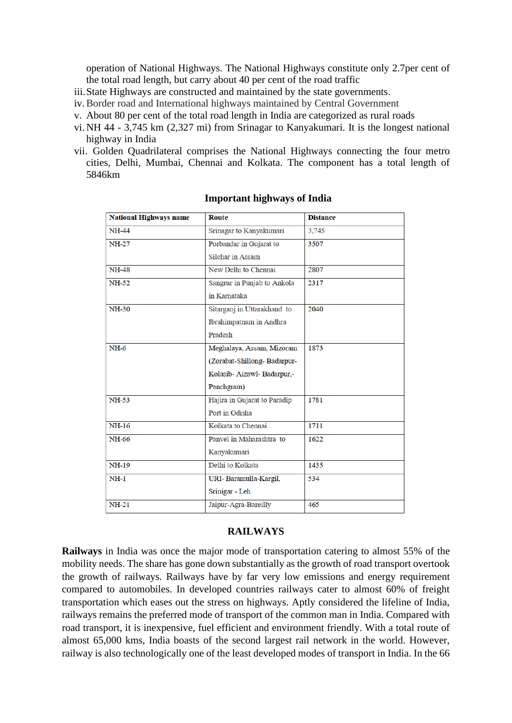operation of National Highways. The National Highways constitute only 2.7per cent of the total road length, but carry about 40 per cent of the road traffic

- iii.State Highways are constructed and maintained by the state governments.
- iv.Border road and International highways maintained by Central Government
- v. About 80 per cent of the total road length in India are categorized as rural roads
- vi. NH 44 3,745 km (2,327 mi) from Srinagar to Kanyakumari. It is the longest national highway in India
- vii. Golden Quadrilateral comprises the National Highways connecting the four metro cities, Delhi, Mumbai, Chennai and Kolkata. The component has a total length of 5846km

| Route                        | <b>Distance</b> |
|------------------------------|-----------------|
| Srinagar to Kanyakumari      | 3,745           |
| Porbandar in Gujarat to      | 3507            |
| <b>Silchar in Assam</b>      |                 |
| New Delhi to Chennai         | 2807            |
| Sangrur in Punjab to Ankola  | 2317            |
| in Karnataka                 |                 |
| Sitarganj in Uttarakhand to  | 2040            |
| Ibrahimpatnam in Andhra      |                 |
| Pradesh                      |                 |
| Meghalaya, Assam, Mizoram    | 1873            |
| (Zorabat-Shillong-Badarpur-  |                 |
| Kolasib- Aizawl- Badarpur,-  |                 |
| Panchgram)                   |                 |
| Hajira in Gujarat to Paradip | 1781            |
| Port in Odisha               |                 |
| Kolkata to Chennai           | 1711            |
| Panvel in Maharashtra to     | 1622            |
| Kanyakumari                  |                 |
| Delhi to Kolkata             | 1435            |
| URI- Baramulla-Kargil,       | 534             |
| Srinigar - Leh               |                 |
| Jaipur-Agra-Bareilly         | 465             |
|                              |                 |

#### **Important highways of India**

#### **RAILWAYS**

**Railways** in India was once the major mode of transportation catering to almost 55% of the mobility needs. The share has gone down substantially as the growth of road transport overtook the growth of railways. Railways have by far very low emissions and energy requirement compared to automobiles. In developed countries railways cater to almost 60% of freight transportation which eases out the stress on highways. Aptly considered the lifeline of India, railways remains the preferred mode of transport of the common man in India. Compared with road transport, it is inexpensive, fuel efficient and environment friendly. With a total route of almost 65,000 kms, India boasts of the second largest rail network in the world. However, railway is also technologically one of the least developed modes of transport in India. In the 66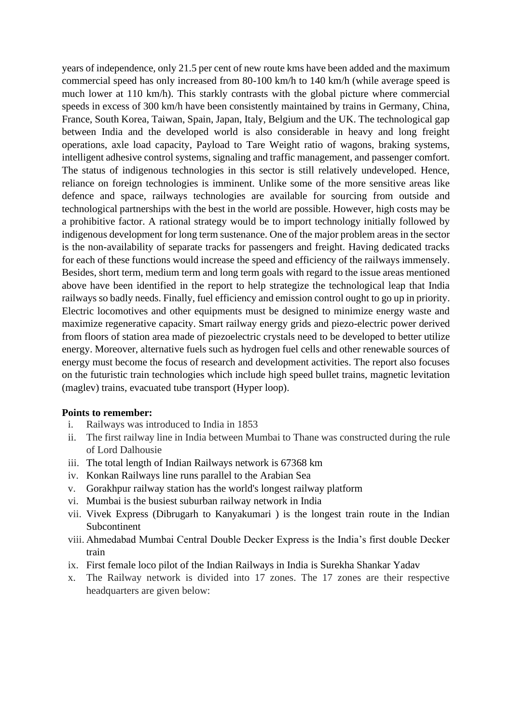years of independence, only 21.5 per cent of new route kms have been added and the maximum commercial speed has only increased from 80-100 km/h to 140 km/h (while average speed is much lower at 110 km/h). This starkly contrasts with the global picture where commercial speeds in excess of 300 km/h have been consistently maintained by trains in Germany, China, France, South Korea, Taiwan, Spain, Japan, Italy, Belgium and the UK. The technological gap between India and the developed world is also considerable in heavy and long freight operations, axle load capacity, Payload to Tare Weight ratio of wagons, braking systems, intelligent adhesive control systems, signaling and traffic management, and passenger comfort. The status of indigenous technologies in this sector is still relatively undeveloped. Hence, reliance on foreign technologies is imminent. Unlike some of the more sensitive areas like defence and space, railways technologies are available for sourcing from outside and technological partnerships with the best in the world are possible. However, high costs may be a prohibitive factor. A rational strategy would be to import technology initially followed by indigenous development for long term sustenance. One of the major problem areas in the sector is the non-availability of separate tracks for passengers and freight. Having dedicated tracks for each of these functions would increase the speed and efficiency of the railways immensely. Besides, short term, medium term and long term goals with regard to the issue areas mentioned above have been identified in the report to help strategize the technological leap that India railways so badly needs. Finally, fuel efficiency and emission control ought to go up in priority. Electric locomotives and other equipments must be designed to minimize energy waste and maximize regenerative capacity. Smart railway energy grids and piezo-electric power derived from floors of station area made of piezoelectric crystals need to be developed to better utilize energy. Moreover, alternative fuels such as hydrogen fuel cells and other renewable sources of energy must become the focus of research and development activities. The report also focuses on the futuristic train technologies which include high speed bullet trains, magnetic levitation (maglev) trains, evacuated tube transport (Hyper loop).

## **Points to remember:**

- i. Railways was introduced to India in 1853
- ii. The first railway line in India between Mumbai to Thane was constructed during the rule of Lord Dalhousie
- iii. The total length of Indian Railways network is 67368 km
- iv. Konkan Railways line runs parallel to the Arabian Sea
- v. Gorakhpur railway station has the world's longest railway platform
- vi. Mumbai is the busiest suburban railway network in India
- vii. Vivek Express (Dibrugarh to Kanyakumari ) is the longest train route in the Indian Subcontinent
- viii. Ahmedabad Mumbai Central Double Decker Express is the India's first double Decker train
- ix. First female loco pilot of the Indian Railways in India is Surekha Shankar Yadav
- x. The Railway network is divided into 17 zones. The 17 zones are their respective headquarters are given below: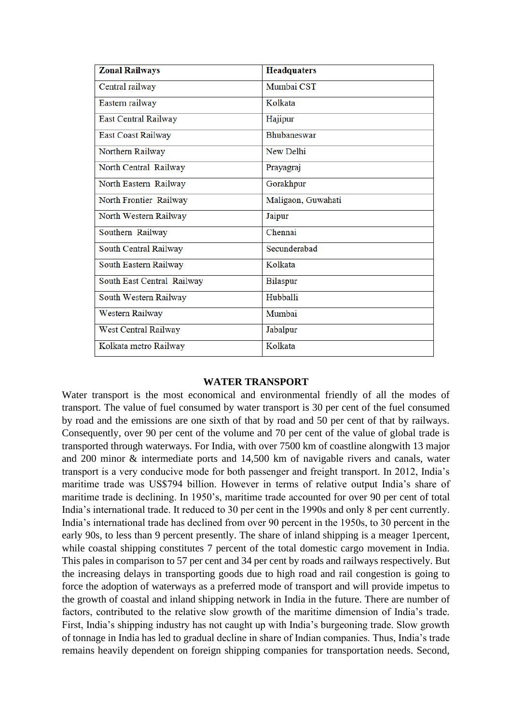| <b>Zonal Railways</b>      | <b>Headquaters</b> |  |
|----------------------------|--------------------|--|
| Central railway            | Mumbai CST         |  |
| Eastern railway            | Kolkata            |  |
| East Central Railway       | Hajipur            |  |
| East Coast Railway         | <b>Bhubaneswar</b> |  |
| Northern Railway           | New Delhi          |  |
| North Central Railway      | Prayagraj          |  |
| North Eastern Railway      | Gorakhpur          |  |
| North Frontier Railway     | Maligaon, Guwahati |  |
| North Western Railway      | Jaipur             |  |
| Southern Railway           | Chennai            |  |
| South Central Railway      | Secunderabad       |  |
| South Eastern Railway      | Kolkata            |  |
| South East Central Railway | <b>Bilaspur</b>    |  |
| South Western Railway      | Hubballi           |  |
| Western Railway            | Mumbai             |  |
| West Central Railway       | Jabalpur           |  |
| Kolkata metro Railway      | Kolkata            |  |

## **WATER TRANSPORT**

Water transport is the most economical and environmental friendly of all the modes of transport. The value of fuel consumed by water transport is 30 per cent of the fuel consumed by road and the emissions are one sixth of that by road and 50 per cent of that by railways. Consequently, over 90 per cent of the volume and 70 per cent of the value of global trade is transported through waterways. For India, with over 7500 km of coastline alongwith 13 major and 200 minor & intermediate ports and 14,500 km of navigable rivers and canals, water transport is a very conducive mode for both passenger and freight transport. In 2012, India's maritime trade was US\$794 billion. However in terms of relative output India's share of maritime trade is declining. In 1950's, maritime trade accounted for over 90 per cent of total India's international trade. It reduced to 30 per cent in the 1990s and only 8 per cent currently. India's international trade has declined from over 90 percent in the 1950s, to 30 percent in the early 90s, to less than 9 percent presently. The share of inland shipping is a meager 1percent, while coastal shipping constitutes 7 percent of the total domestic cargo movement in India. This pales in comparison to 57 per cent and 34 per cent by roads and railways respectively. But the increasing delays in transporting goods due to high road and rail congestion is going to force the adoption of waterways as a preferred mode of transport and will provide impetus to the growth of coastal and inland shipping network in India in the future. There are number of factors, contributed to the relative slow growth of the maritime dimension of India's trade. First, India's shipping industry has not caught up with India's burgeoning trade. Slow growth of tonnage in India has led to gradual decline in share of Indian companies. Thus, India's trade remains heavily dependent on foreign shipping companies for transportation needs. Second,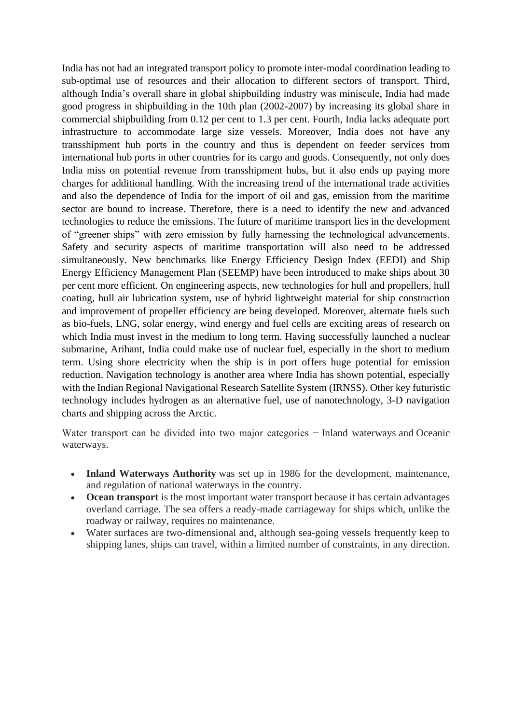India has not had an integrated transport policy to promote inter-modal coordination leading to sub-optimal use of resources and their allocation to different sectors of transport. Third, although India's overall share in global shipbuilding industry was miniscule, India had made good progress in shipbuilding in the 10th plan (2002-2007) by increasing its global share in commercial shipbuilding from 0.12 per cent to 1.3 per cent. Fourth, India lacks adequate port infrastructure to accommodate large size vessels. Moreover, India does not have any transshipment hub ports in the country and thus is dependent on feeder services from international hub ports in other countries for its cargo and goods. Consequently, not only does India miss on potential revenue from transshipment hubs, but it also ends up paying more charges for additional handling. With the increasing trend of the international trade activities and also the dependence of India for the import of oil and gas, emission from the maritime sector are bound to increase. Therefore, there is a need to identify the new and advanced technologies to reduce the emissions. The future of maritime transport lies in the development of "greener ships" with zero emission by fully harnessing the technological advancements. Safety and security aspects of maritime transportation will also need to be addressed simultaneously. New benchmarks like Energy Efficiency Design Index (EEDI) and Ship Energy Efficiency Management Plan (SEEMP) have been introduced to make ships about 30 per cent more efficient. On engineering aspects, new technologies for hull and propellers, hull coating, hull air lubrication system, use of hybrid lightweight material for ship construction and improvement of propeller efficiency are being developed. Moreover, alternate fuels such as bio-fuels, LNG, solar energy, wind energy and fuel cells are exciting areas of research on which India must invest in the medium to long term. Having successfully launched a nuclear submarine, Arihant, India could make use of nuclear fuel, especially in the short to medium term. Using shore electricity when the ship is in port offers huge potential for emission reduction. Navigation technology is another area where India has shown potential, especially with the Indian Regional Navigational Research Satellite System (IRNSS). Other key futuristic technology includes hydrogen as an alternative fuel, use of nanotechnology, 3-D navigation charts and shipping across the Arctic.

Water transport can be divided into two major categories − Inland waterways and Oceanic waterways.

- **Inland Waterways Authority** was set up in 1986 for the development, maintenance, and regulation of national waterways in the country.
- **Ocean transport** is the most important water transport because it has certain advantages overland carriage. The sea offers a ready-made carriageway for ships which, unlike the roadway or railway, requires no maintenance.
- Water surfaces are two-dimensional and, although sea-going vessels frequently keep to shipping lanes, ships can travel, within a limited number of constraints, in any direction.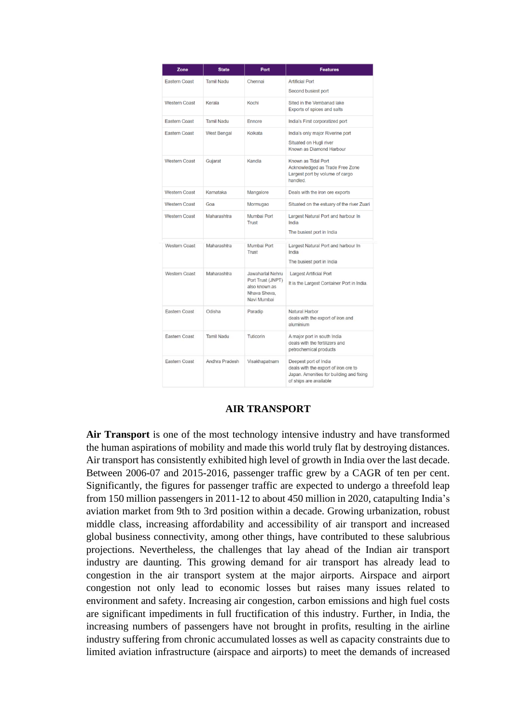| Zone                 | <b>State</b>       | Port                                                                                  | <b>Features</b>                                                                                                                     |
|----------------------|--------------------|---------------------------------------------------------------------------------------|-------------------------------------------------------------------------------------------------------------------------------------|
| <b>Eastern Coast</b> | <b>Tamil Nadu</b>  | Chennai                                                                               | <b>Artificial Port</b><br>Second busiest port                                                                                       |
| <b>Western Coast</b> | Kerala             | Kochi                                                                                 | Sited in the Vembanad lake<br>Exports of spices and salts                                                                           |
| <b>Eastern Coast</b> | <b>Tamil Nadu</b>  | Ennore                                                                                | India's First corporatized port                                                                                                     |
| <b>Eastern Coast</b> | <b>West Bengal</b> | Kolkata                                                                               | India's only major Riverine port<br>Situated on Hugli river<br>Known as Diamond Harbour                                             |
| <b>Western Coast</b> | Gujarat            | Kandla                                                                                | Known as Tidal Port<br>Acknowledged as Trade Free Zone<br>Largest port by volume of cargo<br>handled.                               |
| <b>Western Coast</b> | Karnataka          | Mangalore                                                                             | Deals with the iron ore exports                                                                                                     |
| <b>Western Coast</b> | Goa                | Mormugao                                                                              | Situated on the estuary of the river Zuari                                                                                          |
| <b>Western Coast</b> | Maharashtra        | Mumbai Port<br><b>Trust</b>                                                           | Largest Natural Port and harbour In<br>India<br>The busiest port in India                                                           |
| <b>Western Coast</b> | Maharashtra        | Mumbai Port<br>Trust                                                                  | Largest Natural Port and harbour In<br>India<br>The busiest port in India                                                           |
| Western Coast        | Maharashtra        | Jawaharlal Nehru<br>Port Trust (JNPT)<br>also known as<br>Nhava Sheva.<br>Navi Mumbai | Largest Artificial Port<br>It is the Largest Container Port in India.                                                               |
| <b>Eastern Coast</b> | Odisha             | Paradip                                                                               | Natural Harbor<br>deals with the export of iron and<br>aluminium                                                                    |
| Eastern Coast        | Tamil Nadu         | Tuticorin                                                                             | A major port in south India<br>deals with the fertilizers and<br>petrochemical products                                             |
| Eastern Coast        | Andhra Pradesh     | Visakhapatnam                                                                         | Deepest port of India<br>deals with the export of iron ore to<br>Japan. Amenities for building and fixing<br>of ships are available |

## **AIR TRANSPORT**

**Air Transport** is one of the most technology intensive industry and have transformed the human aspirations of mobility and made this world truly flat by destroying distances. Air transport has consistently exhibited high level of growth in India over the last decade. Between 2006-07 and 2015-2016, passenger traffic grew by a CAGR of ten per cent. Significantly, the figures for passenger traffic are expected to undergo a threefold leap from 150 million passengers in 2011-12 to about 450 million in 2020, catapulting India's aviation market from 9th to 3rd position within a decade. Growing urbanization, robust middle class, increasing affordability and accessibility of air transport and increased global business connectivity, among other things, have contributed to these salubrious projections. Nevertheless, the challenges that lay ahead of the Indian air transport industry are daunting. This growing demand for air transport has already lead to congestion in the air transport system at the major airports. Airspace and airport congestion not only lead to economic losses but raises many issues related to environment and safety. Increasing air congestion, carbon emissions and high fuel costs are significant impediments in full fructification of this industry. Further, in India, the increasing numbers of passengers have not brought in profits, resulting in the airline industry suffering from chronic accumulated losses as well as capacity constraints due to limited aviation infrastructure (airspace and airports) to meet the demands of increased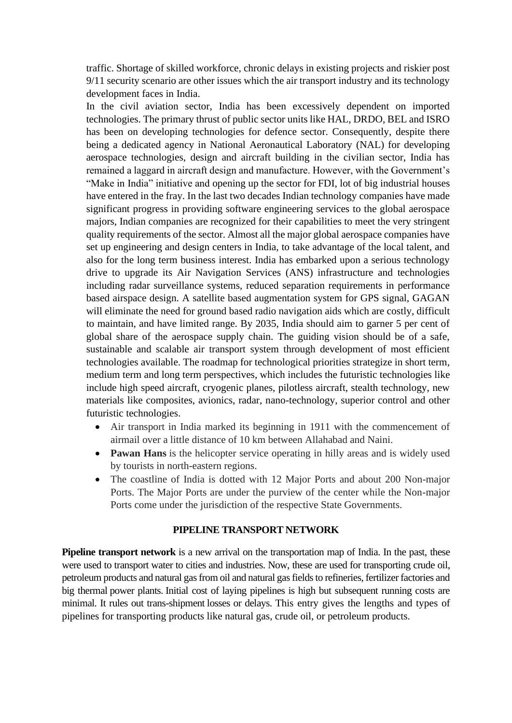traffic. Shortage of skilled workforce, chronic delays in existing projects and riskier post 9/11 security scenario are other issues which the air transport industry and its technology development faces in India.

In the civil aviation sector, India has been excessively dependent on imported technologies. The primary thrust of public sector units like HAL, DRDO, BEL and ISRO has been on developing technologies for defence sector. Consequently, despite there being a dedicated agency in National Aeronautical Laboratory (NAL) for developing aerospace technologies, design and aircraft building in the civilian sector, India has remained a laggard in aircraft design and manufacture. However, with the Government's "Make in India" initiative and opening up the sector for FDI, lot of big industrial houses have entered in the fray. In the last two decades Indian technology companies have made significant progress in providing software engineering services to the global aerospace majors, Indian companies are recognized for their capabilities to meet the very stringent quality requirements of the sector. Almost all the major global aerospace companies have set up engineering and design centers in India, to take advantage of the local talent, and also for the long term business interest. India has embarked upon a serious technology drive to upgrade its Air Navigation Services (ANS) infrastructure and technologies including radar surveillance systems, reduced separation requirements in performance based airspace design. A satellite based augmentation system for GPS signal, GAGAN will eliminate the need for ground based radio navigation aids which are costly, difficult to maintain, and have limited range. By 2035, India should aim to garner 5 per cent of global share of the aerospace supply chain. The guiding vision should be of a safe, sustainable and scalable air transport system through development of most efficient technologies available. The roadmap for technological priorities strategize in short term, medium term and long term perspectives, which includes the futuristic technologies like include high speed aircraft, cryogenic planes, pilotless aircraft, stealth technology, new materials like composites, avionics, radar, nano-technology, superior control and other futuristic technologies.

- Air transport in India marked its beginning in 1911 with the commencement of airmail over a little distance of 10 km between Allahabad and Naini.
- **Pawan Hans** is the helicopter service operating in hilly areas and is widely used by tourists in north-eastern regions.
- The coastline of India is dotted with 12 Major Ports and about 200 Non-major Ports. The Major Ports are under the purview of the center while the Non-major Ports come under the jurisdiction of the respective State Governments.

## **PIPELINE TRANSPORT NETWORK**

**Pipeline transport network** is a new arrival on the transportation map of India. In the past, these were used to transport water to cities and industries. Now, these are used for transporting crude oil, petroleum products and natural gas from oil and natural gas fields to refineries, fertilizer factories and big thermal power plants. Initial cost of laying pipelines is high but subsequent running costs are minimal. It rules out trans-shipment losses or delays. This entry gives the lengths and types of pipelines for transporting products like natural gas, crude oil, or petroleum products.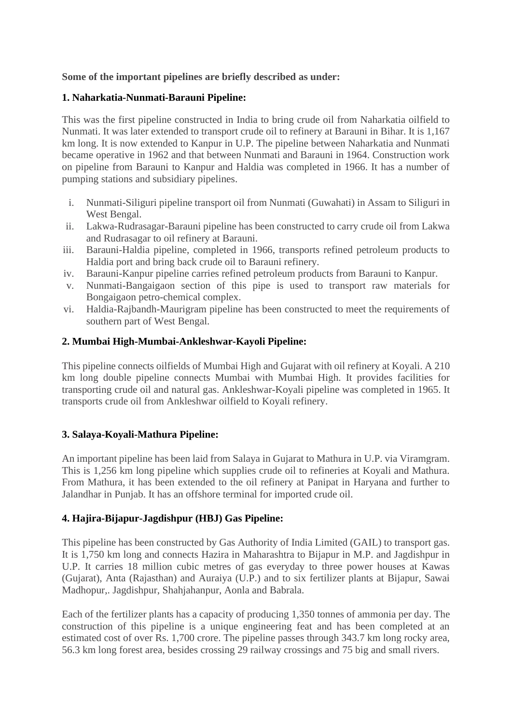# **Some of the important pipelines are briefly described as under:**

# **1. Naharkatia-Nunmati-Barauni Pipeline:**

This was the first pipeline constructed in India to bring crude oil from Naharkatia oilfield to Nunmati. It was later extended to transport crude oil to refinery at Barauni in Bihar. It is 1,167 km long. It is now extended to Kanpur in U.P. The pipeline between Naharkatia and Nunmati became operative in 1962 and that between Nunmati and Barauni in 1964. Construction work on pipeline from Barauni to Kanpur and Haldia was completed in 1966. It has a number of pumping stations and subsidiary pipelines.

- i. Nunmati-Siliguri pipeline transport oil from Nunmati (Guwahati) in Assam to Siliguri in West Bengal.
- ii. Lakwa-Rudrasagar-Barauni pipeline has been constructed to carry crude oil from Lakwa and Rudrasagar to oil refinery at Barauni.
- iii. Barauni-Haldia pipeline, completed in 1966, transports refined petroleum products to Haldia port and bring back crude oil to Barauni refinery.
- iv. Barauni-Kanpur pipeline carries refined petroleum products from Barauni to Kanpur.
- v. Nunmati-Bangaigaon section of this pipe is used to transport raw materials for Bongaigaon petro-chemical complex.
- vi. Haldia-Rajbandh-Maurigram pipeline has been constructed to meet the requirements of southern part of West Bengal.

# **2. Mumbai High-Mumbai-Ankleshwar-Kayoli Pipeline:**

This pipeline connects oilfields of Mumbai High and Gujarat with oil refinery at Koyali. A 210 km long double pipeline connects Mumbai with Mumbai High. It provides facilities for transporting crude oil and natural gas. Ankleshwar-Koyali pipeline was completed in 1965. It transports crude oil from Ankleshwar oilfield to Koyali refinery.

## **3. Salaya-Koyali-Mathura Pipeline:**

An important pipeline has been laid from Salaya in Gujarat to Mathura in U.P. via Viramgram. This is 1,256 km long pipeline which supplies crude oil to refineries at Koyali and Mathura. From Mathura, it has been extended to the oil refinery at Panipat in Haryana and further to Jalandhar in Punjab. It has an offshore terminal for imported crude oil.

# **4. Hajira-Bijapur-Jagdishpur (HBJ) Gas Pipeline:**

This pipeline has been constructed by Gas Authority of India Limited (GAIL) to transport gas. It is 1,750 km long and connects Hazira in Maharashtra to Bijapur in M.P. and Jagdishpur in U.P. It carries 18 million cubic metres of gas everyday to three power houses at Kawas (Gujarat), Anta (Rajasthan) and Auraiya (U.P.) and to six fertilizer plants at Bijapur, Sawai Madhopur,. Jagdishpur, Shahjahanpur, Aonla and Babrala.

Each of the fertilizer plants has a capacity of producing 1,350 tonnes of ammonia per day. The construction of this pipeline is a unique engineering feat and has been completed at an estimated cost of over Rs. 1,700 crore. The pipeline passes through 343.7 km long rocky area, 56.3 km long forest area, besides crossing 29 railway crossings and 75 big and small rivers.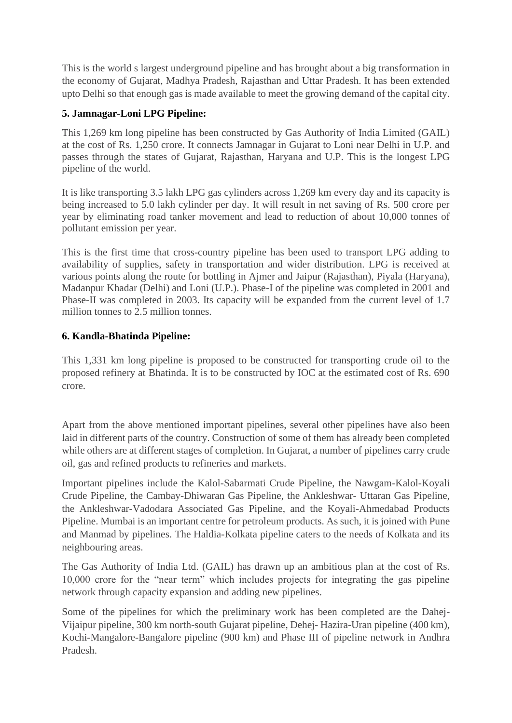This is the world s largest underground pipeline and has brought about a big transformation in the economy of Gujarat, Madhya Pradesh, Rajasthan and Uttar Pradesh. It has been extended upto Delhi so that enough gas is made available to meet the growing demand of the capital city.

# **5. Jamnagar-Loni LPG Pipeline:**

This 1,269 km long pipeline has been constructed by Gas Authority of India Limited (GAIL) at the cost of Rs. 1,250 crore. It connects Jamnagar in Gujarat to Loni near Delhi in U.P. and passes through the states of Gujarat, Rajasthan, Haryana and U.P. This is the longest LPG pipeline of the world.

It is like transporting 3.5 lakh LPG gas cylinders across 1,269 km every day and its capacity is being increased to 5.0 lakh cylinder per day. It will result in net saving of Rs. 500 crore per year by eliminating road tanker movement and lead to reduction of about 10,000 tonnes of pollutant emission per year.

This is the first time that cross-country pipeline has been used to transport LPG adding to availability of supplies, safety in transportation and wider distribution. LPG is received at various points along the route for bottling in Ajmer and Jaipur (Rajasthan), Piyala (Haryana), Madanpur Khadar (Delhi) and Loni (U.P.). Phase-I of the pipeline was completed in 2001 and Phase-II was completed in 2003. Its capacity will be expanded from the current level of 1.7 million tonnes to 2.5 million tonnes.

# **6. Kandla-Bhatinda Pipeline:**

This 1,331 km long pipeline is proposed to be constructed for transporting crude oil to the proposed refinery at Bhatinda. It is to be constructed by IOC at the estimated cost of Rs. 690 crore.

Apart from the above mentioned important pipelines, several other pipelines have also been laid in different parts of the country. Construction of some of them has already been completed while others are at different stages of completion. In Gujarat, a number of pipelines carry crude oil, gas and refined products to refineries and markets.

Important pipelines include the Kalol-Sabarmati Crude Pipeline, the Nawgam-Kalol-Koyali Crude Pipeline, the Cambay-Dhiwaran Gas Pipeline, the Ankleshwar- Uttaran Gas Pipeline, the Ankleshwar-Vadodara Associated Gas Pipeline, and the Koyali-Ahmedabad Products Pipeline. Mumbai is an important centre for petroleum products. As such, it is joined with Pune and Manmad by pipelines. The Haldia-Kolkata pipeline caters to the needs of Kolkata and its neighbouring areas.

The Gas Authority of India Ltd. (GAIL) has drawn up an ambitious plan at the cost of Rs. 10,000 crore for the "near term" which includes projects for integrating the gas pipeline network through capacity expansion and adding new pipelines.

Some of the pipelines for which the preliminary work has been completed are the Dahej-Vijaipur pipeline, 300 km north-south Gujarat pipeline, Dehej- Hazira-Uran pipeline (400 km), Kochi-Mangalore-Bangalore pipeline (900 km) and Phase III of pipeline network in Andhra Pradesh.